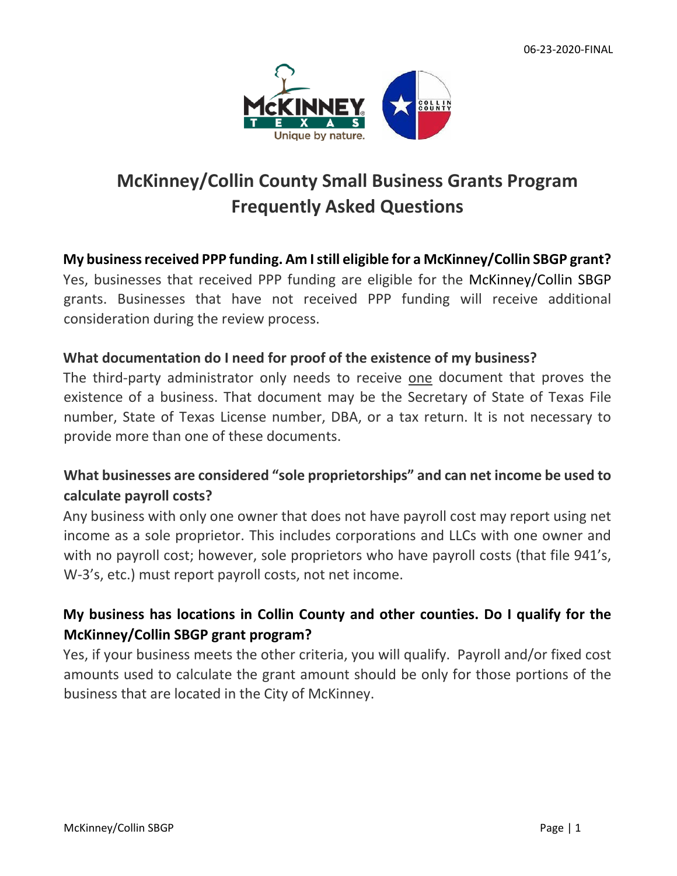

# **McKinney/Collin County Small Business Grants Program Frequently Asked Questions**

#### **My business received PPP funding. Am I still eligible for a McKinney/Collin SBGP grant?**

Yes, businesses that received PPP funding are eligible for the McKinney/Collin SBGP grants. Businesses that have not received PPP funding will receive additional consideration during the review process.

#### **What documentation do I need for proof of the existence of my business?**

The third-party administrator only needs to receive one document that proves the existence of a business. That document may be the Secretary of State of Texas File number, State of Texas License number, DBA, or a tax return. It is not necessary to provide more than one of these documents.

# **What businesses are considered "sole proprietorships" and can net income be used to calculate payroll costs?**

Any business with only one owner that does not have payroll cost may report using net income as a sole proprietor. This includes corporations and LLCs with one owner and with no payroll cost; however, sole proprietors who have payroll costs (that file 941's, W-3's, etc.) must report payroll costs, not net income.

## **My business has locations in Collin County and other counties. Do I qualify for the McKinney/Collin SBGP grant program?**

Yes, if your business meets the other criteria, you will qualify. Payroll and/or fixed cost amounts used to calculate the grant amount should be only for those portions of the business that are located in the City of McKinney.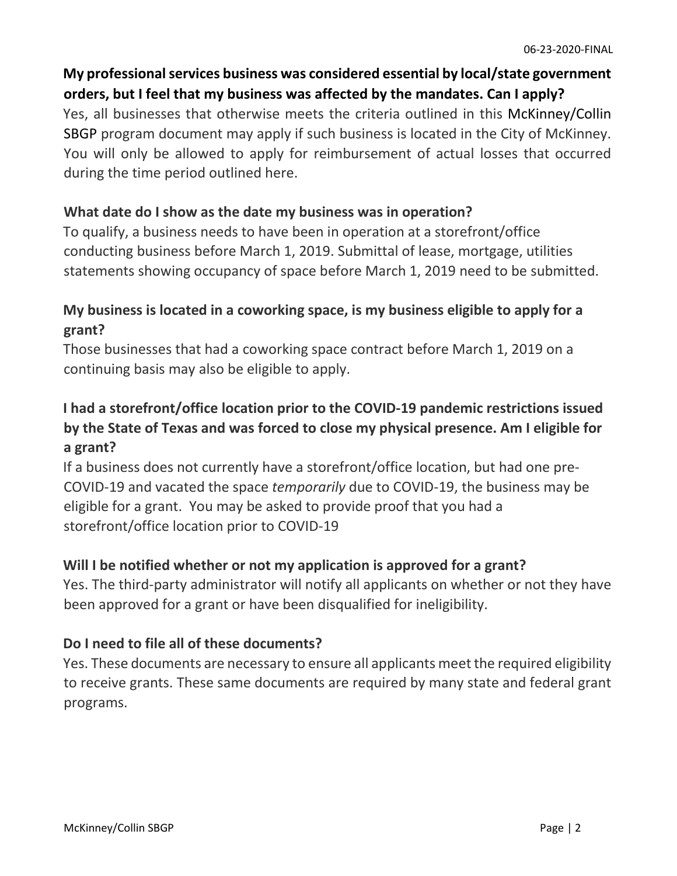# **My professional services business was considered essential by local/state government orders, but I feel that my business was affected by the mandates. Can I apply?**

Yes, all businesses that otherwise meets the criteria outlined in this McKinney/Collin SBGP program document may apply if such business is located in the City of McKinney. You will only be allowed to apply for reimbursement of actual losses that occurred during the time period outlined here.

### **What date do I show as the date my business was in operation?**

To qualify, a business needs to have been in operation at a storefront/office conducting business before March 1, 2019. Submittal of lease, mortgage, utilities statements showing occupancy of space before March 1, 2019 need to be submitted.

## **My business is located in a coworking space, is my business eligible to apply for a grant?**

Those businesses that had a coworking space contract before March 1, 2019 on a continuing basis may also be eligible to apply.

# **I had a storefront/office location prior to the COVID-19 pandemic restrictions issued by the State of Texas and was forced to close my physical presence. Am I eligible for a grant?**

If a business does not currently have a storefront/office location, but had one pre-COVID-19 and vacated the space *temporarily* due to COVID-19, the business may be eligible for a grant. You may be asked to provide proof that you had a storefront/office location prior to COVID-19

## **Will I be notified whether or not my application is approved for a grant?**

Yes. The third-party administrator will notify all applicants on whether or not they have been approved for a grant or have been disqualified for ineligibility.

## **Do I need to file all of these documents?**

Yes. These documents are necessary to ensure all applicants meet the required eligibility to receive grants. These same documents are required by many state and federal grant programs.